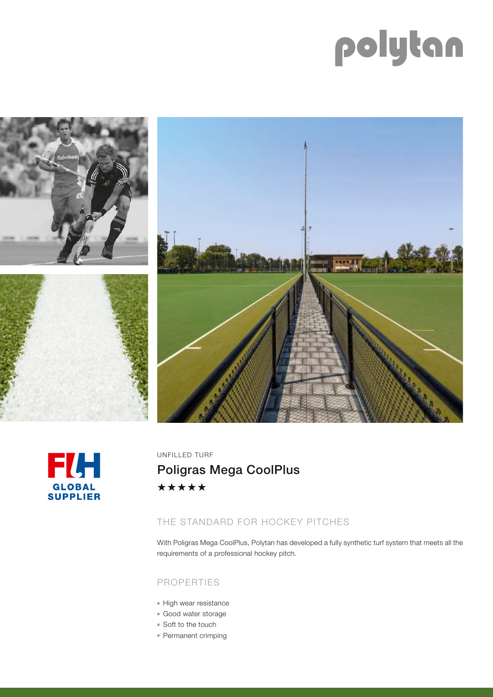# polytan









UNFILLED TURF

Poligras Mega CoolPlus\*\*\*\*\*

## THE STANDARD FOR HOCKEY PITCHES

With Poligras Mega CoolPlus, Polytan has developed a fully synthetic turf system that meets all the requirements of a professional hockey pitch.

### PROPERTIES

- High wear resistance
- Good water storage
- $\blacksquare$  Soft to the touch
- **Permanent crimping**